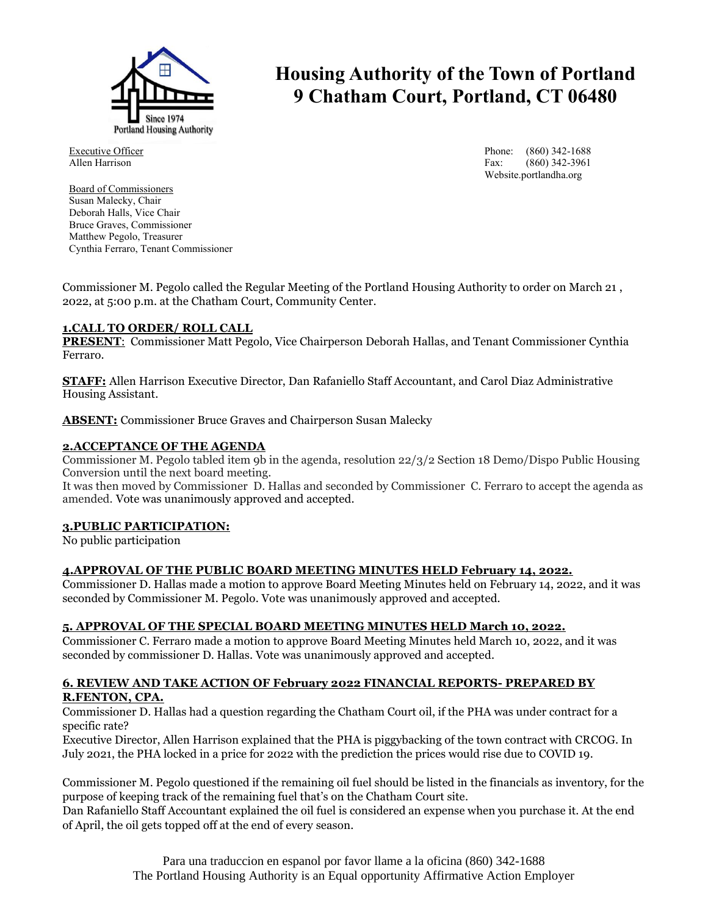

# **Housing Authority of the Town of Portland 9 Chatham Court, Portland, CT 06480**

Executive Officer Allen Harrison

Board of Commissioners Susan Malecky, Chair Deborah Halls, Vice Chair Bruce Graves, Commissioner Matthew Pegolo, Treasurer Cynthia Ferraro, Tenant Commissioner Phone: (860) 342-1688 Fax: (860) 342-3961 Website.portlandha.org

Commissioner M. Pegolo called the Regular Meeting of the Portland Housing Authority to order on March 21 , 2022, at 5:00 p.m. at the Chatham Court, Community Center.

#### **1.CALL TO ORDER/ ROLL CALL**

**PRESENT**: Commissioner Matt Pegolo, Vice Chairperson Deborah Hallas, and Tenant Commissioner Cynthia Ferraro.

**STAFF:** Allen Harrison Executive Director, Dan Rafaniello Staff Accountant, and Carol Diaz Administrative Housing Assistant.

**ABSENT:** Commissioner Bruce Graves and Chairperson Susan Malecky

#### **2.ACCEPTANCE OF THE AGENDA**

Commissioner M. Pegolo tabled item 9b in the agenda, resolution 22/3/2 Section 18 Demo/Dispo Public Housing Conversion until the next board meeting.

It was then moved by Commissioner D. Hallas and seconded by Commissioner C. Ferraro to accept the agenda as amended. Vote was unanimously approved and accepted.

# **3.PUBLIC PARTICIPATION:**

No public participation

## **4.APPROVAL OF THE PUBLIC BOARD MEETING MINUTES HELD February 14, 2022.**

Commissioner D. Hallas made a motion to approve Board Meeting Minutes held on February 14, 2022, and it was seconded by Commissioner M. Pegolo. Vote was unanimously approved and accepted.

## **5. APPROVAL OF THE SPECIAL BOARD MEETING MINUTES HELD March 10, 2022.**

Commissioner C. Ferraro made a motion to approve Board Meeting Minutes held March 10, 2022, and it was seconded by commissioner D. Hallas. Vote was unanimously approved and accepted.

#### **6. REVIEW AND TAKE ACTION OF February 2022 FINANCIAL REPORTS- PREPARED BY R.FENTON, CPA.**

Commissioner D. Hallas had a question regarding the Chatham Court oil, if the PHA was under contract for a specific rate?

Executive Director, Allen Harrison explained that the PHA is piggybacking of the town contract with CRCOG. In July 2021, the PHA locked in a price for 2022 with the prediction the prices would rise due to COVID 19.

Commissioner M. Pegolo questioned if the remaining oil fuel should be listed in the financials as inventory, for the purpose of keeping track of the remaining fuel that's on the Chatham Court site.

Dan Rafaniello Staff Accountant explained the oil fuel is considered an expense when you purchase it. At the end of April, the oil gets topped off at the end of every season.

> Para una traduccion en espanol por favor llame a la oficina (860) 342-1688 The Portland Housing Authority is an Equal opportunity Affirmative Action Employer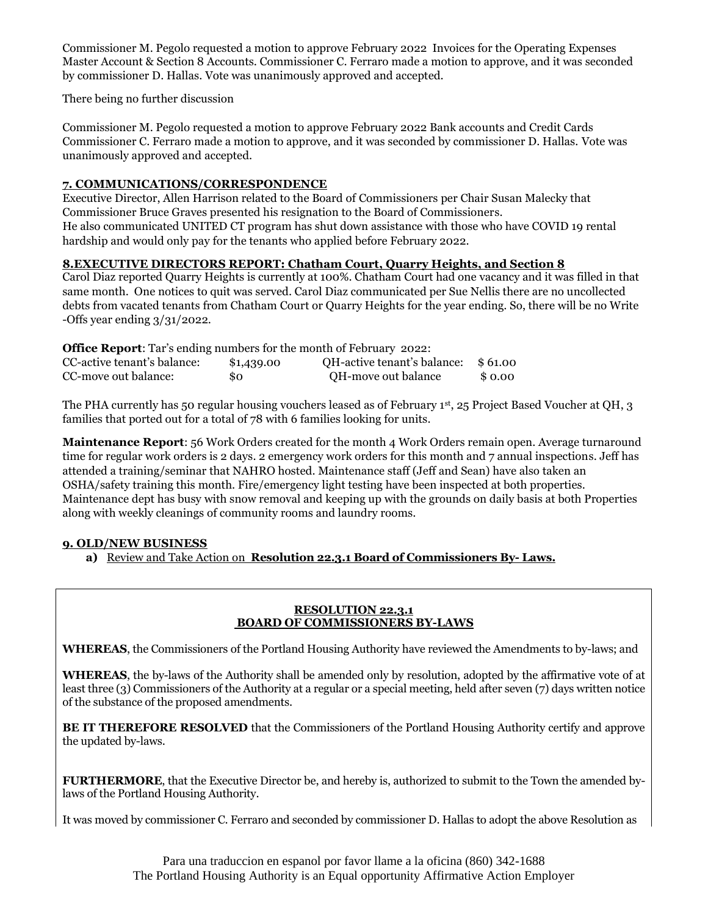Commissioner M. Pegolo requested a motion to approve February 2022 Invoices for the Operating Expenses Master Account & Section 8 Accounts. Commissioner C. Ferraro made a motion to approve, and it was seconded by commissioner D. Hallas. Vote was unanimously approved and accepted.

There being no further discussion

Commissioner M. Pegolo requested a motion to approve February 2022 Bank accounts and Credit Cards Commissioner C. Ferraro made a motion to approve, and it was seconded by commissioner D. Hallas. Vote was unanimously approved and accepted.

## **7. COMMUNICATIONS/CORRESPONDENCE**

Executive Director, Allen Harrison related to the Board of Commissioners per Chair Susan Malecky that Commissioner Bruce Graves presented his resignation to the Board of Commissioners. He also communicated UNITED CT program has shut down assistance with those who have COVID 19 rental hardship and would only pay for the tenants who applied before February 2022.

# **8.EXECUTIVE DIRECTORS REPORT: Chatham Court, Quarry Heights, and Section 8**

Carol Diaz reported Quarry Heights is currently at 100%. Chatham Court had one vacancy and it was filled in that same month. One notices to quit was served. Carol Diaz communicated per Sue Nellis there are no uncollected debts from vacated tenants from Chatham Court or Quarry Heights for the year ending. So, there will be no Write -Offs year ending 3/31/2022.

| <b>Office Report:</b> Tar's ending numbers for the month of February 2022: |            |                             |         |
|----------------------------------------------------------------------------|------------|-----------------------------|---------|
| CC-active tenant's balance:                                                | \$1,439.00 | QH-active tenant's balance: | \$61.00 |
| CC-move out balance:                                                       | 80         | OH-move out balance         | \$ 0.00 |

The PHA currently has 50 regular housing vouchers leased as of February 1st, 25 Project Based Voucher at QH, 3 families that ported out for a total of 78 with 6 families looking for units.

**Maintenance Report**: 56 Work Orders created for the month 4 Work Orders remain open. Average turnaround time for regular work orders is 2 days. 2 emergency work orders for this month and 7 annual inspections. Jeff has attended a training/seminar that NAHRO hosted. Maintenance staff (Jeff and Sean) have also taken an OSHA/safety training this month. Fire/emergency light testing have been inspected at both properties. Maintenance dept has busy with snow removal and keeping up with the grounds on daily basis at both Properties along with weekly cleanings of community rooms and laundry rooms.

## **9. OLD/NEW BUSINESS**

**a)** Review and Take Action on **Resolution 22.3.1 Board of Commissioners By- Laws.**

#### **RESOLUTION 22.3.1 BOARD OF COMMISSIONERS BY-LAWS**

**WHEREAS**, the Commissioners of the Portland Housing Authority have reviewed the Amendments to by-laws; and

**WHEREAS**, the by-laws of the Authority shall be amended only by resolution, adopted by the affirmative vote of at least three (3) Commissioners of the Authority at a regular or a special meeting, held after seven (7) days written notice of the substance of the proposed amendments.

**BE IT THEREFORE RESOLVED** that the Commissioners of the Portland Housing Authority certify and approve the updated by-laws.

**FURTHERMORE**, that the Executive Director be, and hereby is, authorized to submit to the Town the amended bylaws of the Portland Housing Authority.

It was moved by commissioner C. Ferraro and seconded by commissioner D. Hallas to adopt the above Resolution as

Para una traduccion en espanol por favor llame a la oficina (860) 342-1688 The Portland Housing Authority is an Equal opportunity Affirmative Action Employer